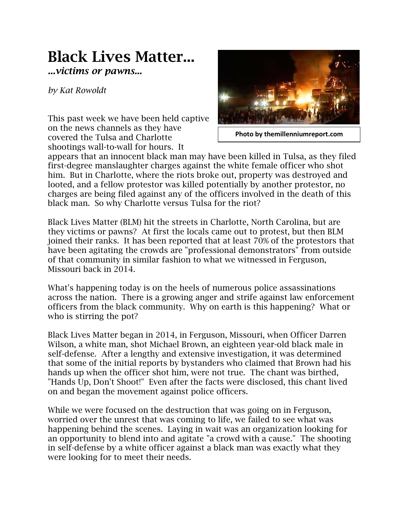## **Black Lives Matter...** *...victims or pawns...*

*by Kat Rowoldt*

This past week we have been held captive on the news channels as they have covered the Tulsa and Charlotte shootings wall-to-wall for hours. It



**Photo by themillenniumreport.com**

appears that an innocent black man may have been killed in Tulsa, as they filed first-degree manslaughter charges against the white female officer who shot him. But in Charlotte, where the riots broke out, property was destroyed and looted, and a fellow protestor was killed potentially by another protestor, no charges are being filed against any of the officers involved in the death of this black man. So why Charlotte versus Tulsa for the riot?

Black Lives Matter (BLM) hit the streets in Charlotte, North Carolina, but are they victims or pawns? At first the locals came out to protest, but then BLM joined their ranks. It has been reported that at least 70% of the protestors that have been agitating the crowds are "professional demonstrators" from outside of that community in similar fashion to what we witnessed in Ferguson, Missouri back in 2014.

What's happening today is on the heels of numerous police assassinations across the nation. There is a growing anger and strife against law enforcement officers from the black community. Why on earth is this happening? What or who is stirring the pot?

Black Lives Matter began in 2014, in Ferguson, Missouri, when Officer Darren Wilson, a white man, shot Michael Brown, an eighteen year-old black male in self-defense. After a lengthy and extensive investigation, it was determined that some of the initial reports by bystanders who claimed that Brown had his hands up when the officer shot him, were not true. The chant was birthed, "Hands Up, Don't Shoot!" Even after the facts were disclosed, this chant lived on and began the movement against police officers.

While we were focused on the destruction that was going on in Ferguson, worried over the unrest that was coming to life, we failed to see what was happening behind the scenes. Laying in wait was an organization looking for an opportunity to blend into and agitate "a crowd with a cause." The shooting in self-defense by a white officer against a black man was exactly what they were looking for to meet their needs.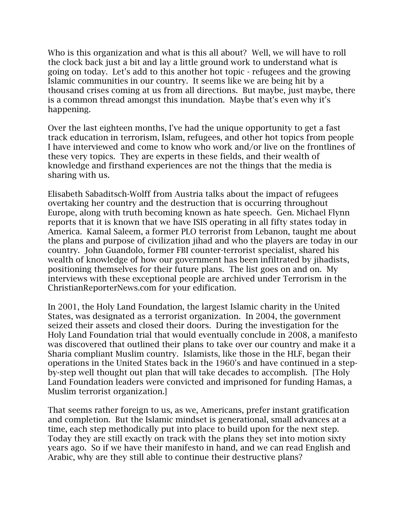Who is this organization and what is this all about? Well, we will have to roll the clock back just a bit and lay a little ground work to understand what is going on today. Let's add to this another hot topic - refugees and the growing Islamic communities in our country. It seems like we are being hit by a thousand crises coming at us from all directions. But maybe, just maybe, there is a common thread amongst this inundation. Maybe that's even why it's happening.

Over the last eighteen months, I've had the unique opportunity to get a fast track education in terrorism, Islam, refugees, and other hot topics from people I have interviewed and come to know who work and/or live on the frontlines of these very topics. They are experts in these fields, and their wealth of knowledge and firsthand experiences are not the things that the media is sharing with us.

Elisabeth Sabaditsch-Wolff from Austria talks about the impact of refugees overtaking her country and the destruction that is occurring throughout Europe, along with truth becoming known as hate speech. Gen. Michael Flynn reports that it is known that we have ISIS operating in all fifty states today in America. Kamal Saleem, a former PLO terrorist from Lebanon, taught me about the plans and purpose of civilization jihad and who the players are today in our country. John Guandolo, former FBI counter-terrorist specialist, shared his wealth of knowledge of how our government has been infiltrated by jihadists, positioning themselves for their future plans. The list goes on and on. My interviews with these exceptional people are archived under Terrorism in the ChristianReporterNews.com for your edification.

In 2001, the Holy Land Foundation, the largest Islamic charity in the United States, was designated as a terrorist organization. In 2004, the government seized their assets and closed their doors. During the investigation for the Holy Land Foundation trial that would eventually conclude in 2008, a manifesto was discovered that outlined their plans to take over our country and make it a Sharia compliant Muslim country. Islamists, like those in the HLF, began their operations in the United States back in the 1960's and have continued in a stepby-step well thought out plan that will take decades to accomplish. [The Holy Land Foundation leaders were convicted and imprisoned for funding Hamas, a Muslim terrorist organization.]

That seems rather foreign to us, as we, Americans, prefer instant gratification and completion. But the Islamic mindset is generational, small advances at a time, each step methodically put into place to build upon for the next step. Today they are still exactly on track with the plans they set into motion sixty years ago. So if we have their manifesto in hand, and we can read English and Arabic, why are they still able to continue their destructive plans?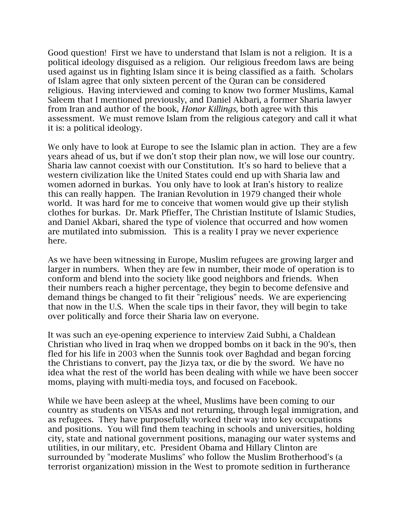Good question! First we have to understand that Islam is not a religion. It is a political ideology disguised as a religion. Our religious freedom laws are being used against us in fighting Islam since it is being classified as a faith. Scholars of Islam agree that only sixteen percent of the Quran can be considered religious. Having interviewed and coming to know two former Muslims, Kamal Saleem that I mentioned previously, and Daniel Akbari, a former Sharia lawyer from Iran and author of the book, *Honor Killings,* both agree with this assessment. We must remove Islam from the religious category and call it what it is: a political ideology.

We only have to look at Europe to see the Islamic plan in action. They are a few years ahead of us, but if we don't stop their plan now, we will lose our country. Sharia law cannot coexist with our Constitution. It's so hard to believe that a western civilization like the United States could end up with Sharia law and women adorned in burkas. You only have to look at Iran's history to realize this can really happen. The Iranian Revolution in 1979 changed their whole world. It was hard for me to conceive that women would give up their stylish clothes for burkas. Dr. Mark Pfieffer, The Christian Institute of Islamic Studies, and Daniel Akbari, shared the type of violence that occurred and how women are mutilated into submission. This is a reality I pray we never experience here.

As we have been witnessing in Europe, Muslim refugees are growing larger and larger in numbers. When they are few in number, their mode of operation is to conform and blend into the society like good neighbors and friends. When their numbers reach a higher percentage, they begin to become defensive and demand things be changed to fit their "religious" needs. We are experiencing that now in the U.S. When the scale tips in their favor, they will begin to take over politically and force their Sharia law on everyone.

It was such an eye-opening experience to interview Zaid Subhi, a Chaldean Christian who lived in Iraq when we dropped bombs on it back in the 90's, then fled for his life in 2003 when the Sunnis took over Baghdad and began forcing the Christians to convert, pay the Jizya tax, or die by the sword. We have no idea what the rest of the world has been dealing with while we have been soccer moms, playing with multi-media toys, and focused on Facebook.

While we have been asleep at the wheel, Muslims have been coming to our country as students on VISAs and not returning, through legal immigration, and as refugees. They have purposefully worked their way into key occupations and positions. You will find them teaching in schools and universities, holding city, state and national government positions, managing our water systems and utilities, in our military, etc. President Obama and Hillary Clinton are surrounded by "moderate Muslims" who follow the Muslim Brotherhood's (a terrorist organization) mission in the West to promote sedition in furtherance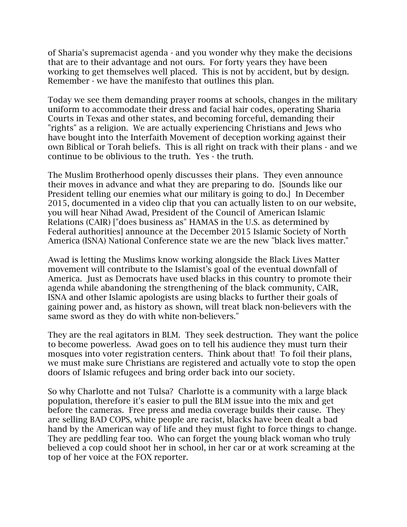of Sharia's supremacist agenda - and you wonder why they make the decisions that are to their advantage and not ours. For forty years they have been working to get themselves well placed. This is not by accident, but by design. Remember - we have the manifesto that outlines this plan.

Today we see them demanding prayer rooms at schools, changes in the military uniform to accommodate their dress and facial hair codes, operating Sharia Courts in Texas and other states, and becoming forceful, demanding their "rights" as a religion. We are actually experiencing Christians and Jews who have bought into the Interfaith Movement of deception working against their own Biblical or Torah beliefs. This is all right on track with their plans - and we continue to be oblivious to the truth. Yes - the truth.

The Muslim Brotherhood openly discusses their plans. They even announce their moves in advance and what they are preparing to do. [Sounds like our President telling our enemies what our military is going to do.] In December 2015, documented in a video clip that you can actually listen to on our website, you will hear Nihad Awad, President of the Council of American Islamic Relations (CAIR) ["does business as" HAMAS in the U.S. as determined by Federal authorities] announce at the December 2015 Islamic Society of North America (ISNA) National Conference state we are the new "black lives matter."

Awad is letting the Muslims know working alongside the Black Lives Matter movement will contribute to the Islamist's goal of the eventual downfall of America. Just as Democrats have used blacks in this country to promote their agenda while abandoning the strengthening of the black community, CAIR, ISNA and other Islamic apologists are using blacks to further their goals of gaining power and, as history as shown, will treat black non-believers with the same sword as they do with white non-believers."

They are the real agitators in BLM. They seek destruction. They want the police to become powerless. Awad goes on to tell his audience they must turn their mosques into voter registration centers. Think about that! To foil their plans, we must make sure Christians are registered and actually vote to stop the open doors of Islamic refugees and bring order back into our society.

So why Charlotte and not Tulsa? Charlotte is a community with a large black population, therefore it's easier to pull the BLM issue into the mix and get before the cameras. Free press and media coverage builds their cause. They are selling BAD COPS, white people are racist, blacks have been dealt a bad hand by the American way of life and they must fight to force things to change. They are peddling fear too. Who can forget the young black woman who truly believed a cop could shoot her in school, in her car or at work screaming at the top of her voice at the FOX reporter.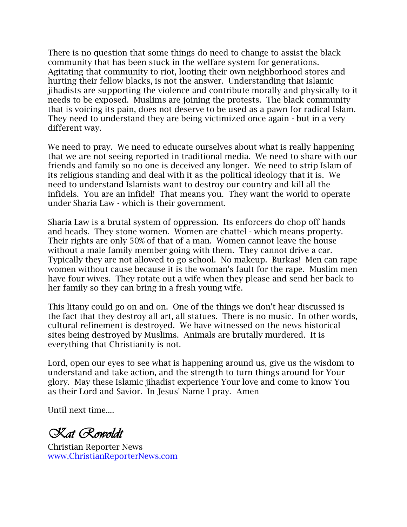There is no question that some things do need to change to assist the black community that has been stuck in the welfare system for generations. Agitating that community to riot, looting their own neighborhood stores and hurting their fellow blacks, is not the answer. Understanding that Islamic jihadists are supporting the violence and contribute morally and physically to it needs to be exposed. Muslims are joining the protests. The black community that is voicing its pain, does not deserve to be used as a pawn for radical Islam. They need to understand they are being victimized once again - but in a very different way.

We need to pray. We need to educate ourselves about what is really happening that we are not seeing reported in traditional media. We need to share with our friends and family so no one is deceived any longer. We need to strip Islam of its religious standing and deal with it as the political ideology that it is. We need to understand Islamists want to destroy our country and kill all the infidels. You are an infidel! That means you. They want the world to operate under Sharia Law - which is their government.

Sharia Law is a brutal system of oppression. Its enforcers do chop off hands and heads. They stone women. Women are chattel - which means property. Their rights are only 50% of that of a man. Women cannot leave the house without a male family member going with them. They cannot drive a car. Typically they are not allowed to go school. No makeup. Burkas! Men can rape women without cause because it is the woman's fault for the rape. Muslim men have four wives. They rotate out a wife when they please and send her back to her family so they can bring in a fresh young wife.

This litany could go on and on. One of the things we don't hear discussed is the fact that they destroy all art, all statues. There is no music. In other words, cultural refinement is destroyed. We have witnessed on the news historical sites being destroyed by Muslims. Animals are brutally murdered. It is everything that Christianity is not.

Lord, open our eyes to see what is happening around us, give us the wisdom to understand and take action, and the strength to turn things around for Your glory. May these Islamic jihadist experience Your love and come to know You as their Lord and Savior. In Jesus' Name I pray. Amen

Until next time....

*Kat Rowoldt*

Christian Reporter News www.ChristianReporterNews.com